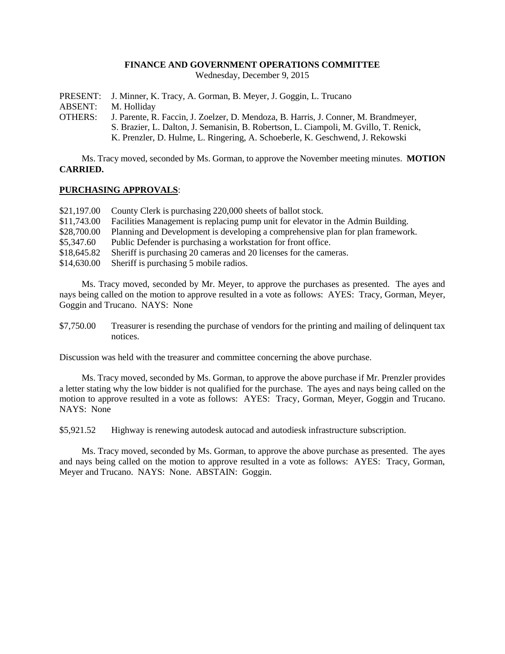#### **FINANCE AND GOVERNMENT OPERATIONS COMMITTEE**

Wednesday, December 9, 2015

PRESENT: J. Minner, K. Tracy, A. Gorman, B. Meyer, J. Goggin, L. Trucano

ABSENT: M. Holliday

OTHERS: J. Parente, R. Faccin, J. Zoelzer, D. Mendoza, B. Harris, J. Conner, M. Brandmeyer, S. Brazier, L. Dalton, J. Semanisin, B. Robertson, L. Ciampoli, M. Gvillo, T. Renick, K. Prenzler, D. Hulme, L. Ringering, A. Schoeberle, K. Geschwend, J. Rekowski

Ms. Tracy moved, seconded by Ms. Gorman, to approve the November meeting minutes. **MOTION CARRIED.**

### **PURCHASING APPROVALS**:

- \$21,197.00 County Clerk is purchasing 220,000 sheets of ballot stock.
- \$11,743.00 Facilities Management is replacing pump unit for elevator in the Admin Building.
- \$28,700.00 Planning and Development is developing a comprehensive plan for plan framework.
- \$5,347.60 Public Defender is purchasing a workstation for front office.
- \$18,645.82 Sheriff is purchasing 20 cameras and 20 licenses for the cameras.
- \$14,630.00 Sheriff is purchasing 5 mobile radios.

Ms. Tracy moved, seconded by Mr. Meyer, to approve the purchases as presented. The ayes and nays being called on the motion to approve resulted in a vote as follows: AYES: Tracy, Gorman, Meyer, Goggin and Trucano. NAYS: None

\$7,750.00 Treasurer is resending the purchase of vendors for the printing and mailing of delinquent tax notices.

Discussion was held with the treasurer and committee concerning the above purchase.

Ms. Tracy moved, seconded by Ms. Gorman, to approve the above purchase if Mr. Prenzler provides a letter stating why the low bidder is not qualified for the purchase. The ayes and nays being called on the motion to approve resulted in a vote as follows: AYES: Tracy, Gorman, Meyer, Goggin and Trucano. NAYS: None

\$5,921.52 Highway is renewing autodesk autocad and autodiesk infrastructure subscription.

Ms. Tracy moved, seconded by Ms. Gorman, to approve the above purchase as presented. The ayes and nays being called on the motion to approve resulted in a vote as follows: AYES: Tracy, Gorman, Meyer and Trucano. NAYS: None. ABSTAIN: Goggin.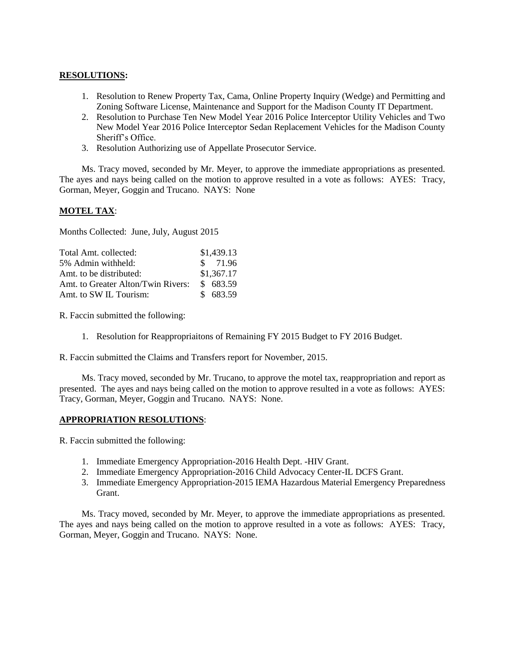## **RESOLUTIONS:**

- 1. Resolution to Renew Property Tax, Cama, Online Property Inquiry (Wedge) and Permitting and Zoning Software License, Maintenance and Support for the Madison County IT Department.
- 2. Resolution to Purchase Ten New Model Year 2016 Police Interceptor Utility Vehicles and Two New Model Year 2016 Police Interceptor Sedan Replacement Vehicles for the Madison County Sheriff's Office.
- 3. Resolution Authorizing use of Appellate Prosecutor Service.

Ms. Tracy moved, seconded by Mr. Meyer, to approve the immediate appropriations as presented. The ayes and nays being called on the motion to approve resulted in a vote as follows: AYES: Tracy, Gorman, Meyer, Goggin and Trucano. NAYS: None

# **MOTEL TAX**:

Months Collected: June, July, August 2015

| Total Amt. collected:              | \$1,439.13 |
|------------------------------------|------------|
| 5% Admin withheld:                 | \$71.96    |
| Amt. to be distributed:            | \$1,367.17 |
| Amt. to Greater Alton/Twin Rivers: | \$683.59   |
| Amt. to SW IL Tourism:             | \$683.59   |

R. Faccin submitted the following:

- 1. Resolution for Reappropriaitons of Remaining FY 2015 Budget to FY 2016 Budget.
- R. Faccin submitted the Claims and Transfers report for November, 2015.

Ms. Tracy moved, seconded by Mr. Trucano, to approve the motel tax, reappropriation and report as presented. The ayes and nays being called on the motion to approve resulted in a vote as follows: AYES: Tracy, Gorman, Meyer, Goggin and Trucano. NAYS: None.

### **APPROPRIATION RESOLUTIONS**:

R. Faccin submitted the following:

- 1. Immediate Emergency Appropriation-2016 Health Dept. -HIV Grant.
- 2. Immediate Emergency Appropriation-2016 Child Advocacy Center-IL DCFS Grant.
- 3. Immediate Emergency Appropriation-2015 IEMA Hazardous Material Emergency Preparedness Grant.

Ms. Tracy moved, seconded by Mr. Meyer, to approve the immediate appropriations as presented. The ayes and nays being called on the motion to approve resulted in a vote as follows: AYES: Tracy, Gorman, Meyer, Goggin and Trucano. NAYS: None.